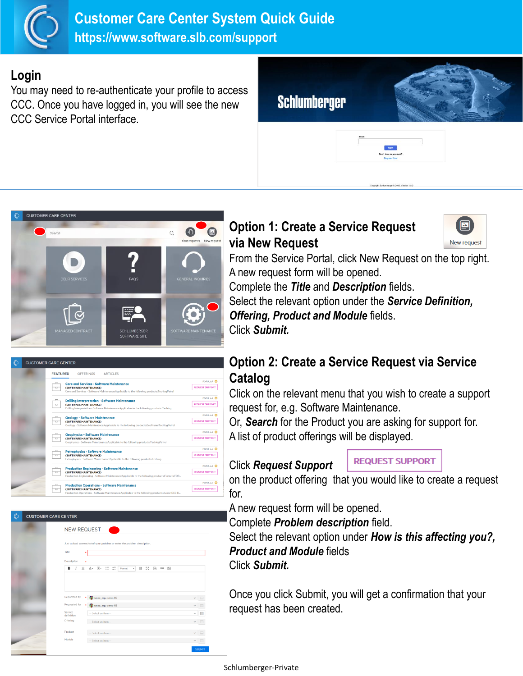

#### **Login**

You may need to re-authenticate your profile to access CCC. Once you have logged in, you will see the new CCC Service Portal interface.

# **Schlumberger**



## **Option 1: Create a Service Request via New Request**



From the Service Portal, click New Request on the top right. A new request form will be opened.

Complete the *Title* and *Description* fields. Select the relevant option under the *Service Definition, Offering, Product and Module* fields. Click *Submit.*

|  | <b>FEATURED</b><br><b>OFFERINGS</b><br><b>ARTICLES</b>                                                                                                     |                        |
|--|------------------------------------------------------------------------------------------------------------------------------------------------------------|------------------------|
|  | <b>Core and Services - Software Maintenance</b>                                                                                                            | POPULAR C              |
|  | (SOFTWARE MAINTENANCE)<br>ᇦ<br>Core and Services - Software Maintenance:Applicable to the following products:TechlogPetrel                                 | <b>REQUEST SUPPORT</b> |
|  | <b>Drilling Interpretation - Software Maintenance</b>                                                                                                      | POPULAR C              |
|  | (SOFTWARE MAINTENANCE)<br>ᇁ<br>Drilling Interpretation - Software Maintenance:Applicable to the following products:Techlog                                 | <b>REQUEST SUPPORT</b> |
|  | <b>Geology - Software Maintenance</b>                                                                                                                      | POPULAR C              |
|  | (SOFTWARE MAINTENANCE)<br>Geology - Software Maintenance:Applicable to the following products:GeoFrameTechlogPetrel                                        | <b>REQUEST SUPPORT</b> |
|  | <b>Geophysics - Software Maintenance</b><br>(SOFTWARE MAINTENANCE)<br>Geophysics - Software Maintenance:Applicable to the following products:TechlogPetrel | POPULAR C              |
|  |                                                                                                                                                            | REQUEST SUPPORT        |
|  | <b>Petrophysics - Software Maintenance</b>                                                                                                                 | POPULAR C              |
|  | (SOFTWARE MAINTENANCE)<br>┳<br>Petrophysics - Software Maintenance:Applicable to the following products:Techlog                                            | REQUEST SUPPORT        |
|  | <b>Production Engineering - Software Maintenance</b>                                                                                                       | POPULAR <sub>C</sub>   |
|  | (SOFTWARE MAINTENANCE)<br>≖<br>Production Engineering - Software Maintenance:Applicable to the following products:FlomaticFOR                              | <b>REQUEST SUPPORT</b> |
|  | <b>Production Operations - Software Maintenance</b>                                                                                                        | POPULAR C              |
|  | (SOFTWARE MAINTENANCE)<br>┳<br>Production Operations - Software Maintenance:Applicable to the following products:AvocetDECID                               | <b>REQUEST SUPPORT</b> |

| <b>NEW REQUEST</b>                                                                                                            |              |
|-------------------------------------------------------------------------------------------------------------------------------|--------------|
|                                                                                                                               |              |
| Just upload screenshot of your problem or enter the problem description.                                                      |              |
| Title<br>٠                                                                                                                    |              |
| Description                                                                                                                   |              |
| $A - \frac{1}{1}$<br>■ 23<br>в<br>$\textcolor{red}{\textcircled{\text{}}}$<br>U<br>$\sim$<br>A-<br>$\alpha$<br>Format<br>$\;$ |              |
|                                                                                                                               |              |
| Requested by<br>smax_erp, demo 05                                                                                             |              |
| Requested for<br>smax_erp, demo 05                                                                                            |              |
| Service<br>-- Select an item --<br>definition                                                                                 | $\checkmark$ |
| Offering<br>-- Select an item --                                                                                              |              |
| Product<br>-- Select an item --                                                                                               |              |

### **Option 2: Create a Service Request via Service Catalog**

Click on the relevant menu that you wish to create a support request for, e.g. Software Maintenance.

Or, *Search* for the Product you are asking for support for. A list of product offerings will be displayed.

#### Click *Request Support*

**REQUEST SUPPORT** 

on the product offering that you would like to create a request for.

A new request form will be opened.

Complete *Problem description* field.

Select the relevant option under *How is this affecting you?, Product and Module* fields Click *Submit.*

Once you click Submit, you will get a confirmation that your request has been created.